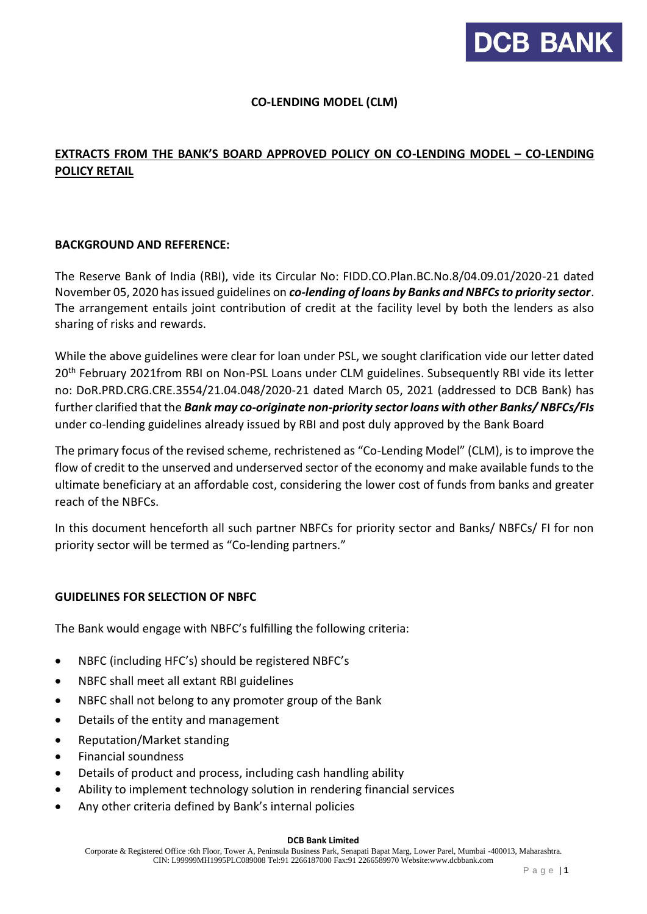

## **CO-LENDING MODEL (CLM)**

# **EXTRACTS FROM THE BANK'S BOARD APPROVED POLICY ON CO-LENDING MODEL – CO-LENDING POLICY RETAIL**

#### **BACKGROUND AND REFERENCE:**

The Reserve Bank of India (RBI), vide its Circular No: FIDD.CO.Plan.BC.No.8/04.09.01/2020-21 dated November 05, 2020 has issued guidelines on *co-lending of loans by Banks and NBFCs to priority sector*. The arrangement entails joint contribution of credit at the facility level by both the lenders as also sharing of risks and rewards.

While the above guidelines were clear for loan under PSL, we sought clarification vide our letter dated 20<sup>th</sup> February 2021from RBI on Non-PSL Loans under CLM guidelines. Subsequently RBI vide its letter no: DoR.PRD.CRG.CRE.3554/21.04.048/2020-21 dated March 05, 2021 (addressed to DCB Bank) has further clarified that the *Bank may co-originate non-priority sector loans with other Banks/ NBFCs/FIs*  under co-lending guidelines already issued by RBI and post duly approved by the Bank Board

The primary focus of the revised scheme, rechristened as "Co-Lending Model" (CLM), is to improve the flow of credit to the unserved and underserved sector of the economy and make available funds to the ultimate beneficiary at an affordable cost, considering the lower cost of funds from banks and greater reach of the NBFCs.

In this document henceforth all such partner NBFCs for priority sector and Banks/ NBFCs/ FI for non priority sector will be termed as "Co-lending partners."

#### **GUIDELINES FOR SELECTION OF NBFC**

The Bank would engage with NBFC's fulfilling the following criteria:

- NBFC (including HFC's) should be registered NBFC's
- NBFC shall meet all extant RBI guidelines
- NBFC shall not belong to any promoter group of the Bank
- Details of the entity and management
- Reputation/Market standing
- Financial soundness
- Details of product and process, including cash handling ability
- Ability to implement technology solution in rendering financial services
- Any other criteria defined by Bank's internal policies

#### **DCB Bank Limited**

Corporate & Registered Office :6th Floor, Tower A, Peninsula Business Park, Senapati Bapat Marg, Lower Parel, Mumbai -400013, Maharashtra. CIN: L99999MH1995PLC089008 Tel:91 2266187000 Fax:91 2266589970 Website:www.dcbbank.com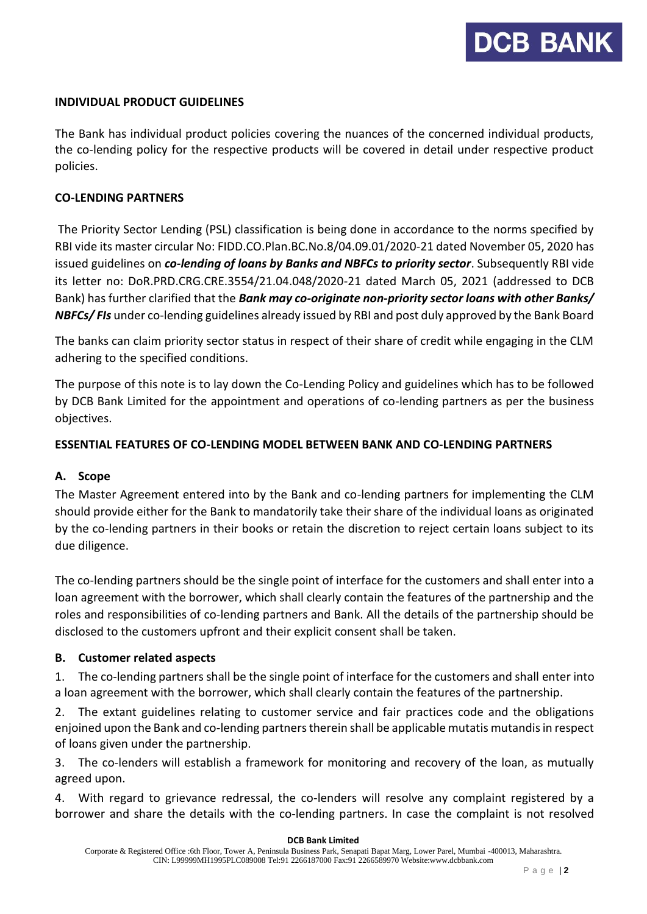#### **INDIVIDUAL PRODUCT GUIDELINES**

The Bank has individual product policies covering the nuances of the concerned individual products, the co-lending policy for the respective products will be covered in detail under respective product policies.

#### **CO-LENDING PARTNERS**

The Priority Sector Lending (PSL) classification is being done in accordance to the norms specified by RBI vide its master circular No: FIDD.CO.Plan.BC.No.8/04.09.01/2020-21 dated November 05, 2020 has issued guidelines on *co-lending of loans by Banks and NBFCs to priority sector*. Subsequently RBI vide its letter no: DoR.PRD.CRG.CRE.3554/21.04.048/2020-21 dated March 05, 2021 (addressed to DCB Bank) has further clarified that the *Bank may co-originate non-priority sector loans with other Banks/ NBFCs/ FIs* under co-lending guidelines already issued by RBI and post duly approved by the Bank Board

The banks can claim priority sector status in respect of their share of credit while engaging in the CLM adhering to the specified conditions.

The purpose of this note is to lay down the Co-Lending Policy and guidelines which has to be followed by DCB Bank Limited for the appointment and operations of co-lending partners as per the business objectives.

#### **ESSENTIAL FEATURES OF CO-LENDING MODEL BETWEEN BANK AND CO-LENDING PARTNERS**

#### **A. Scope**

The Master Agreement entered into by the Bank and co-lending partners for implementing the CLM should provide either for the Bank to mandatorily take their share of the individual loans as originated by the co-lending partners in their books or retain the discretion to reject certain loans subject to its due diligence.

The co-lending partners should be the single point of interface for the customers and shall enter into a loan agreement with the borrower, which shall clearly contain the features of the partnership and the roles and responsibilities of co-lending partners and Bank. All the details of the partnership should be disclosed to the customers upfront and their explicit consent shall be taken.

#### **B. Customer related aspects**

1. The co-lending partners shall be the single point of interface for the customers and shall enter into a loan agreement with the borrower, which shall clearly contain the features of the partnership.

2. The extant guidelines relating to customer service and fair practices code and the obligations enjoined upon the Bank and co-lending partners therein shall be applicable mutatis mutandis in respect of loans given under the partnership.

3. The co-lenders will establish a framework for monitoring and recovery of the loan, as mutually agreed upon.

4. With regard to grievance redressal, the co-lenders will resolve any complaint registered by a borrower and share the details with the co-lending partners. In case the complaint is not resolved

#### **DCB Bank Limited**